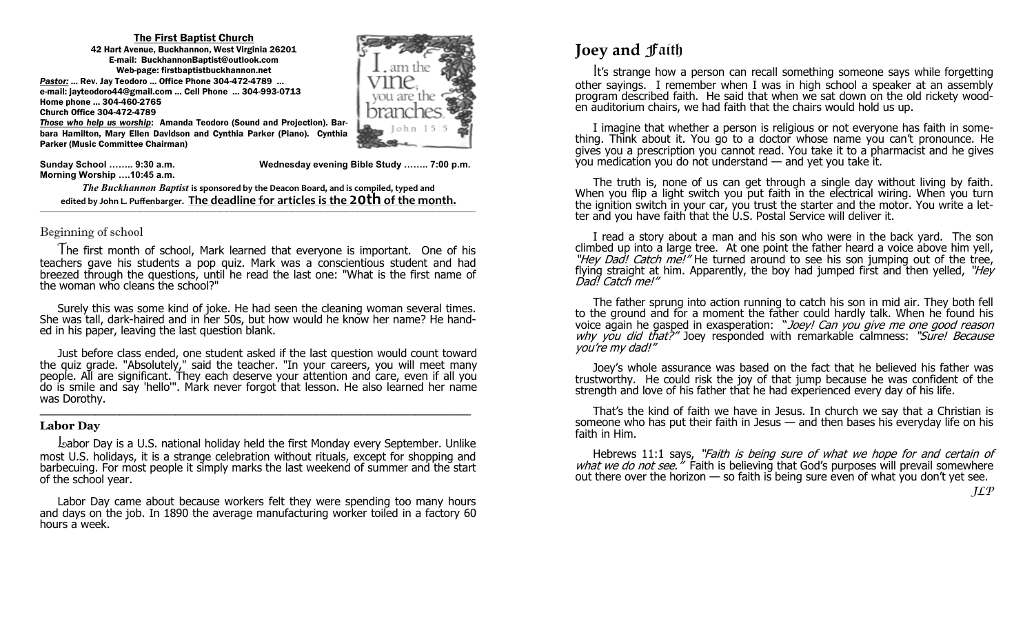#### The First Baptist Church

42 Hart Avenue, Buckhannon, West Virginia 26201 E-mail: BuckhannonBaptist@outlook.com Web-page: firstbaptistbuckhannon.net *Pastor:* ... Rev. Jay Teodoro ... Office Phone 304-472-4789 … e-mail: jayteodoro44@gmail.com … Cell Phone … 304-993-0713 Home phone … 304-460-2765 Church Office 304-472-4789



*Those who help us worship*: Amanda Teodoro (Sound and Projection). Barbara Hamilton, Mary Ellen Davidson and Cynthia Parker (Piano). Cynthia Parker (Music Committee Chairman)

**Morning Worship ….10:45 a.m.**

**Sunday School …….. 9:30 a.m. Wednesday evening Bible Study …….. 7:00 p.m.** 

*The Buckhannon Baptist* **is sponsored by the Deacon Board, and is compiled, typed and edited by John L. Puffenbarger. The deadline for articles is the 20th of the month.**  $\mathcal{L} = \{ \mathcal{L} = \{ \mathcal{L} = \{ \mathcal{L} = \{ \mathcal{L} = \{ \mathcal{L} = \{ \mathcal{L} = \{ \mathcal{L} = \{ \mathcal{L} = \{ \mathcal{L} = \{ \mathcal{L} = \{ \mathcal{L} = \{ \mathcal{L} = \{ \mathcal{L} = \{ \mathcal{L} = \{ \mathcal{L} = \{ \mathcal{L} = \{ \mathcal{L} = \{ \mathcal{L} = \{ \mathcal{L} = \{ \mathcal{L} = \{ \mathcal{L} = \{ \mathcal{L} = \{ \mathcal{L} = \{ \mathcal{$ 

### Beginning of school

 The first month of school, Mark learned that everyone is important. One of his teachers gave his students a pop quiz. Mark was a conscientious student and had breezed through the questions, until he read the last one: "What is the first name of the woman who cleans the school?"

 Surely this was some kind of joke. He had seen the cleaning woman several times. She was tall, dark-haired and in her 50s, but how would he know her name? He handed in his paper, leaving the last question blank.

 Just before class ended, one student asked if the last question would count toward the quiz grade. "Absolutely," said the teacher. "In your careers, you will meet many people. All are significant. They each deserve your attention and care, even if all you do is smile and say 'hello'". Mark never forgot that lesson. He also learned her name was Dorothy.  $\_$  , and the contribution of the contribution of  $\mathcal{L}_1$  , and  $\mathcal{L}_2$  , and  $\mathcal{L}_3$  , and  $\mathcal{L}_4$  , and  $\mathcal{L}_5$  , and  $\mathcal{L}_6$  , and  $\mathcal{L}_7$  , and  $\mathcal{L}_8$  , and  $\mathcal{L}_7$  , and  $\mathcal{L}_8$  , and  $\mathcal{L}_9$  ,

### **Labor Day**

 Labor Day is a U.S. national holiday held the first Monday every September. Unlike most U.S. holidays, it is a strange celebration without rituals, except for shopping and barbecuing. For most people it simply marks the last weekend of summer and the start of the school year.

 Labor Day came about because workers felt they were spending too many hours and days on the job. In 1890 the average manufacturing worker toiled in a factory 60 hours a week.

# **Joey and faith**

 It's strange how a person can recall something someone says while forgetting other sayings. I remember when I was in high school a speaker at an assembly program described faith. He said that when we sat down on the old rickety wooden auditorium chairs, we had faith that the chairs would hold us up.

 I imagine that whether a person is religious or not everyone has faith in something. Think about it. You go to a doctor whose name you can't pronounce. He gives you a prescription you cannot read. You take it to a pharmacist and he gives you medication you do not understand — and yet you take it.

 The truth is, none of us can get through a single day without living by faith. When you flip a light switch you put faith in the electrical wiring. When you turn the ignition switch in your car, you trust the starter and the motor. You write a letter and you have faith that the U.S. Postal Service will deliver it.

 I read a story about a man and his son who were in the back yard. The son climbed up into a large tree. At one point the father heard a voice above him yell, "Hey Dad! Catch me!" He turned around to see his son jumping out of the tree, flying straight at him. Apparently, the boy had jumped first and then yelled, "Hey Dad! Catch me!"

 The father sprung into action running to catch his son in mid air. They both fell to the ground and for a moment the father could hardly talk. When he found his voice again he gasped in exasperation: "Joey! Can you give me one good reason why you did that?" Joey responded with remarkable calmness: "Sure! Because you're my dad!"

 Joey's whole assurance was based on the fact that he believed his father was trustworthy. He could risk the joy of that jump because he was confident of the strength and love of his father that he had experienced every day of his life.

 That's the kind of faith we have in Jesus. In church we say that a Christian is someone who has put their faith in Jesus — and then bases his everyday life on his faith in Him.

Hebrews 11:1 says, "Faith is being sure of what we hope for and certain of what we do not see." Faith is believing that God's purposes will prevail somewhere out there over the horizon — so faith is being sure even of what you don't yet see.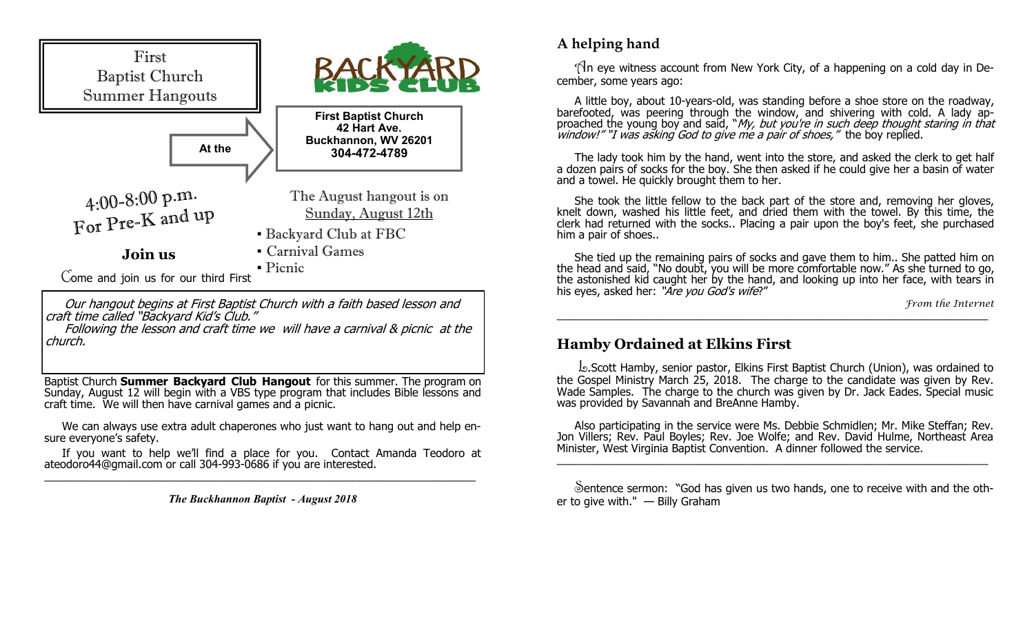

 Our hangout begins at First Baptist Church with a faith based lesson and craft time called "Backyard Kid's Club."

 Following the lesson and craft time we will have a carnival & picnic at the church.

Baptist Church **Summer Backyard Club Hangout** for this summer. The program on Sunday, August 12 will begin with a VBS type program that includes Bible lessons and craft time. We will then have carnival games and a picnic.

 We can always use extra adult chaperones who just want to hang out and help ensure everyone's safety.

 If you want to help we'll find a place for you. Contact Amanda Teodoro at ateodoro44@gmail.com or call 304-993-0686 if you are interested.  $\_$  , and the contribution of the contribution of  $\mathcal{L}_\mathcal{A}$  , and the contribution of  $\mathcal{L}_\mathcal{A}$ 

*The Buckhannon Baptist - August 2018*

# **A helping hand**

 $\Lambda$ n eye witness account from New York City, of a happening on a cold day in December, some years ago:

 A little boy, about 10-years-old, was standing before a shoe store on the roadway, barefooted, was peering through the window, and shivering with cold. A lady approached the young boy and said, "*My, but you're in such deep thought staring in that* window!" "I was asking God to give me a pair of shoes," the boy replied.

 The lady took him by the hand, went into the store, and asked the clerk to get half a dozen pairs of socks for the boy. She then asked if he could give her a basin of water and a towel. He quickly brought them to her.

 She took the little fellow to the back part of the store and, removing her gloves, knelt down, washed his little feet, and dried them with the towel. By this time, the clerk had returned with the socks.. Placing a pair upon the boy's feet, she purchased him a pair of shoes..

 She tied up the remaining pairs of socks and gave them to him.. She patted him on the head and said, "No doubt, you will be more comfortable now." As she turned to go, the astonished kid caught her by the hand, and looking up into her face, with tears in his eyes, asked her: "Are you God's wife?"

 $\_$  , and the contribution of the contribution of  $\mathcal{L}_\mathcal{A}$  , and the contribution of  $\mathcal{L}_\mathcal{A}$ 

*From the Internet*

### **Hamby Ordained at Elkins First**

 L.Scott Hamby, senior pastor, Elkins First Baptist Church (Union), was ordained to the Gospel Ministry March 25, 2018. The charge to the candidate was given by Rev. Wade Samples. The charge to the church was given by Dr. Jack Eades. Special music was provided by Savannah and BreAnne Hamby.

 Also participating in the service were Ms. Debbie Schmidlen; Mr. Mike Steffan; Rev. Jon Villers; Rev. Paul Boyles; Rev. Joe Wolfe; and Rev. David Hulme, Northeast Area Minister, West Virginia Baptist Convention. A dinner followed the service. \_\_\_\_\_\_\_\_\_\_\_\_\_\_\_\_\_\_\_\_\_\_\_\_\_\_\_\_\_\_\_\_\_\_\_\_\_\_\_\_\_\_\_\_\_\_\_\_\_\_\_\_\_\_\_\_\_\_\_\_\_\_\_\_\_\_\_\_\_\_

 Sentence sermon: "God has given us two hands, one to receive with and the other to give with." — Billy Graham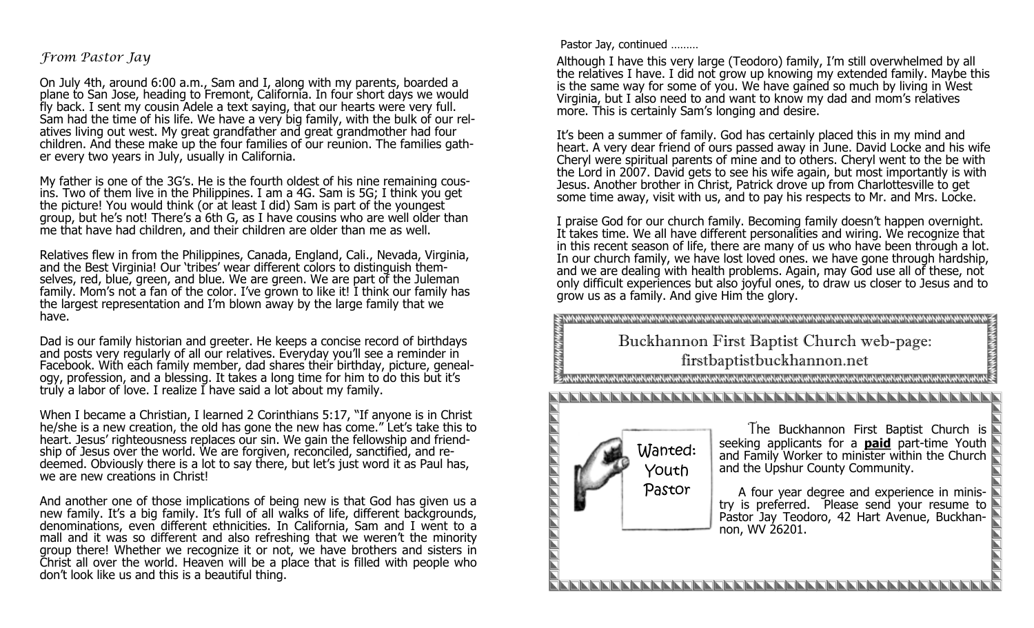### *From Pastor Jay*

On July 4th, around 6:00 a.m., Sam and I, along with my parents, boarded a plane to San Jose, heading to Fremont, California. In four short days we would fly back. I sent my cousin Adele a text saying, that our hearts were very full. Sam had the time of his life. We have a very big family, with the bulk of our relatives living out west. My great grandfather and great grandmother had four children. And these make up the four families of our reunion. The families gather every two years in July, usually in California.

My father is one of the 3G's. He is the fourth oldest of his nine remaining cousins. Two of them live in the Philippines. I am a 4G. Sam is 5G; I think you get the picture! You would think (or at least I did) Sam is part of the youngest group, but he's not! There's a 6th G, as I have cousins who are well older than me that have had children, and their children are older than me as well.

Relatives flew in from the Philippines, Canada, England, Cali., Nevada, Virginia, and the Best Virginia! Our 'tribes' wear different colors to distinguish themselves, red, blue, green, and blue. We are green. We are part of the Juleman family. Mom's not a fan of the color. I've grown to like it! I think our family has the largest representation and I'm blown away by the large family that we have.

Dad is our family historian and greeter. He keeps a concise record of birthdays and posts very regularly of all our relatives. Everyday you'll see a reminder in Facebook. With each family member, dad shares their birthday, picture, genealogy, profession, and a blessing. It takes a long time for him to do this but it's truly a labor of love. I realize I have said a lot about my family.

When I became a Christian, I learned 2 Corinthians 5:17, "If anyone is in Christ he/she is a new creation, the old has gone the new has come." Let's take this to heart. Jesus' righteousness replaces our sin. We gain the fellowship and friendship of Jesus over the world. We are forgiven, reconciled, sanctified, and redeemed. Obviously there is a lot to say there, but let's just word it as Paul has, we are new creations in Christ!

And another one of those implications of being new is that God has given us a new family. It's a big family. It's full of all walks of life, different backgrounds, denominations, even different ethnicities. In California, Sam and I went to a mall and it was so different and also refreshing that we weren't the minority group there! Whether we recognize it or not, we have brothers and sisters in Christ all over the world. Heaven will be a place that is filled with people who don't look like us and this is a beautiful thing.

Pastor Jay, continued ………

Although I have this very large (Teodoro) family, I'm still overwhelmed by all the relatives I have. I did not grow up knowing my extended family. Maybe this is the same way for some of you. We have gained so much by living in West Virginia, but I also need to and want to know my dad and mom's relatives more. This is certainly Sam's longing and desire.

It's been a summer of family. God has certainly placed this in my mind and heart. A very dear friend of ours passed away in June. David Locke and his wife Cheryl were spiritual parents of mine and to others. Cheryl went to the be with the Lord in 2007. David gets to see his wife again, but most importantly is with Jesus. Another brother in Christ, Patrick drove up from Charlottesville to get some time away, visit with us, and to pay his respects to Mr. and Mrs. Locke.

I praise God for our church family. Becoming family doesn't happen overnight. It takes time. We all have different personalities and wiring. We recognize that in this recent season of life, there are many of us who have been through a lot. In our church family, we have lost loved ones. we have gone through hardship, and we are dealing with health problems. Again, may God use all of these, not only difficult experiences but also joyful ones, to draw us closer to Jesus and to grow us as a family. And give Him the glory.

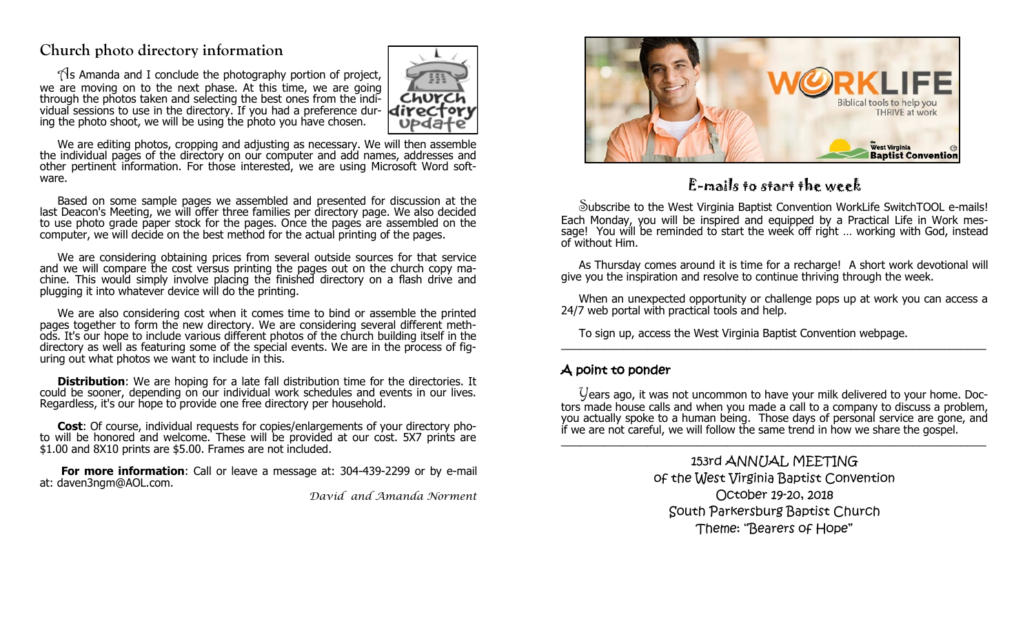# **Church photo directory information**

 $\gamma$ s Amanda and I conclude the photography portion of project, we are moving on to the next phase. At this time, we are going through the photos taken and selecting the best ones from the individual sessions to use in the directory. If you had a preference dur- $direct$ ing the photo shoot, we will be using the photo you have chosen.



We are editing photos, cropping and adjusting as necessary. We will then assemble the individual pages of the directory on our computer and add names, addresses and other pertinent information. For those interested, we are using Microsoft Word software.

 Based on some sample pages we assembled and presented for discussion at the last Deacon's Meeting, we will offer three families per directory page. We also decided to use photo grade paper stock for the pages. Once the pages are assembled on the computer, we will decide on the best method for the actual printing of the pages.

 We are considering obtaining prices from several outside sources for that service and we will compare the cost versus printing the pages out on the church copy machine. This would simply involve placing the finished directory on a flash drive and plugging it into whatever device will do the printing.

 We are also considering cost when it comes time to bind or assemble the printed pages together to form the new directory. We are considering several different methods. It's our hope to include various different photos of the church building itself in the directory as well as featuring some of the special events. We are in the process of figuring out what photos we want to include in this.

**Distribution**: We are hoping for a late fall distribution time for the directories. It could be sooner, depending on our individual work schedules and events in our lives. Regardless, it's our hope to provide one free directory per household.

 **Cost**: Of course, individual requests for copies/enlargements of your directory photo will be honored and welcome. These will be provided at our cost. 5X7 prints are \$1.00 and 8X10 prints are \$5.00. Frames are not included.

**For more information**: Call or leave a message at: 304-439-2299 or by e-mail at: daven3ngm@AOL.com.

*David and Amanda Norment*



# E-mails to start the week

 Subscribe to the West Virginia Baptist Convention WorkLife SwitchTOOL e-mails! Each Monday, you will be inspired and equipped by a Practical Life in Work message! You will be reminded to start the week off right … working with God, instead of without Him.

 As Thursday comes around it is time for a recharge! A short work devotional will give you the inspiration and resolve to continue thriving through the week.

 When an unexpected opportunity or challenge pops up at work you can access a 24/7 web portal with practical tools and help.

 To sign up, access the West Virginia Baptist Convention webpage.  $\_$  , and the set of the set of the set of the set of the set of the set of the set of the set of the set of the set of the set of the set of the set of the set of the set of the set of the set of the set of the set of th

### A point to ponder

 Years ago, it was not uncommon to have your milk delivered to your home. Doctors made house calls and when you made a call to a company to discuss a problem, you actually spoke to a human being. Those days of personal service are gone, and if we are not careful, we will follow the same trend in how we share the gospel.  $\_$  , and the set of the set of the set of the set of the set of the set of the set of the set of the set of the set of the set of the set of the set of the set of the set of the set of the set of the set of the set of th

> 153rd ANNUAL MEETING of the West Virginia Baptist Convention October 19-20, 2018 South Parkersburg Baptist Church Theme: "Bearers of Hope"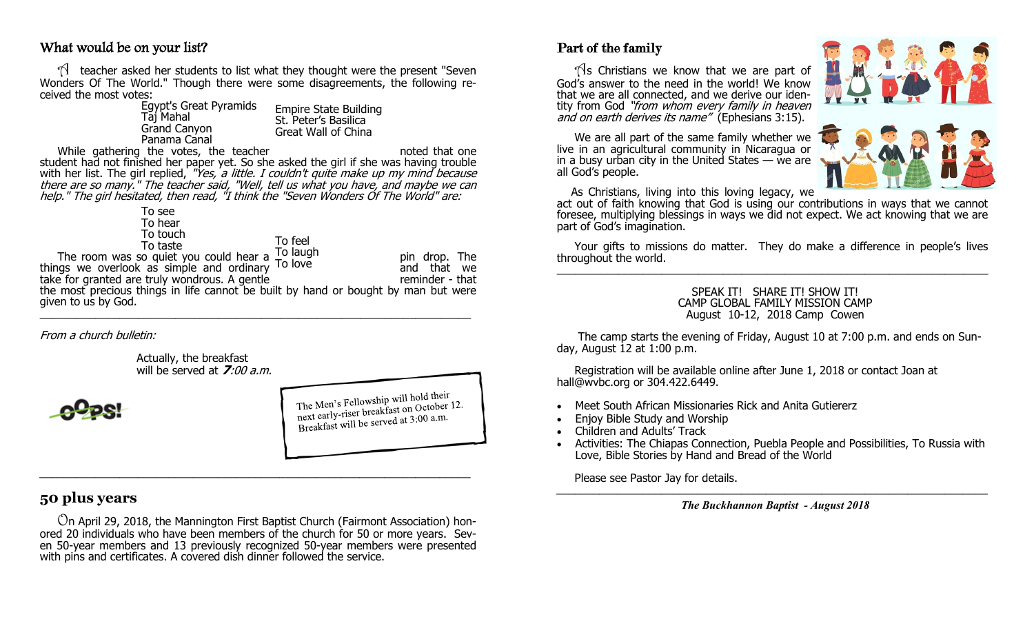### What would be on your list?

 $\mathcal{A}$  teacher asked her students to list what they thought were the present "Seven Wonders Of The World." Though there were some disagreements, the following received the most votes:

| <b>Egypt's Great Pyramids</b> |
|-------------------------------|
| Tăj Mahal                     |
| <b>Grand Canyon</b>           |
| Panama Canal                  |

Empire State Building St. Peter's Basilica Great Wall of China

While gathering the votes, the teacher noted that one noted that one student had not finished her paper yet. So she asked the girl if she was having trouble with her list. The girl replied, "Yes, a little. I couldn't quite make up my mind because there are so many." The teacher said, "Well, tell us what you have, and maybe we can help." The girl hesitated, then read, "I think the "Seven Wonders Of The World" are:

> To see To hear To touch

To taste

To feel

To laugh To love

The room was so quiet you could hear a  $\frac{10}{2}$  love. things we overlook as simple and ordinary <sup>1010ve</sup> and that we and that we

take for granted are truly wondrous. A gentle reminder - that the most precious things in life cannot be built by hand or bought by man but were given to us by God.  $\frac{1}{2}$  , and the set of the set of the set of the set of the set of the set of the set of the set of the set of the set of the set of the set of the set of the set of the set of the set of the set of the set of the set

From a church bulletin:

Actually, the breakfast will be served at **7**:00 a.m.

The Men's Fellowship will hold their The Men's Fellowship will hold then<br>next early-riser breakfast on October 12.<br>it be served at  $3:00$  a.m. next early-riser breaklast on Occupation<br>Breakfast will be served at 3:00 a.m.

# **50 plus years**

 On April 29, 2018, the Mannington First Baptist Church (Fairmont Association) honored 20 individuals who have been members of the church for 50 or more years. Seven 50-year members and 13 previously recognized 50-year members were presented with pins and certificates. A covered dish dinner followed the service.

# Part of the family

 $\sqrt{3}$  Christians we know that we are part of God's answer to the need in the world! We know that we are all connected, and we derive our identity from God "from whom every family in heaven and on earth derives its name" (Ephesians 3:15).

 We are all part of the same family whether we live in an agricultural community in Nicaragua or in a busy urban city in the United States  $-$  we are all God's people.

As Christians, living into this loving legacy, we

act out of faith knowing that God is using our contributions in ways that we cannot foresee, multiplying blessings in ways we did not expect. We act knowing that we are part of God's imagination.

 Your gifts to missions do matter. They do make a difference in people's lives throughout the world.  $\_$  ,  $\_$  ,  $\_$  ,  $\_$  ,  $\_$  ,  $\_$  ,  $\_$  ,  $\_$  ,  $\_$  ,  $\_$  ,  $\_$  ,  $\_$  ,  $\_$  ,  $\_$  ,  $\_$  ,  $\_$  ,  $\_$  ,  $\_$  ,  $\_$  ,  $\_$  ,  $\_$  ,  $\_$  ,  $\_$  ,  $\_$  ,  $\_$  ,  $\_$  ,  $\_$  ,  $\_$  ,  $\_$  ,  $\_$  ,  $\_$  ,  $\_$  ,  $\_$  ,  $\_$  ,  $\_$  ,  $\_$  ,  $\_$  ,

### SPEAK IT! SHARE IT! SHOW IT! CAMP GLOBAL FAMILY MISSION CAMP August 10-12, 2018 Camp Cowen

 The camp starts the evening of Friday, August 10 at 7:00 p.m. and ends on Sunday, August 12 at 1:00 p.m.

 Registration will be available online after June 1, 2018 or contact Joan at hall@wvbc.org or 304.422.6449.

- Meet South African Missionaries Rick and Anita Gutiererz
- Enjoy Bible Study and Worship
- Children and Adults' Track
- Activities: The Chiapas Connection, Puebla People and Possibilities, To Russia with Love, Bible Stories by Hand and Bread of the World

Please see Pastor Jay for details.

*The Buckhannon Baptist - August 2018*